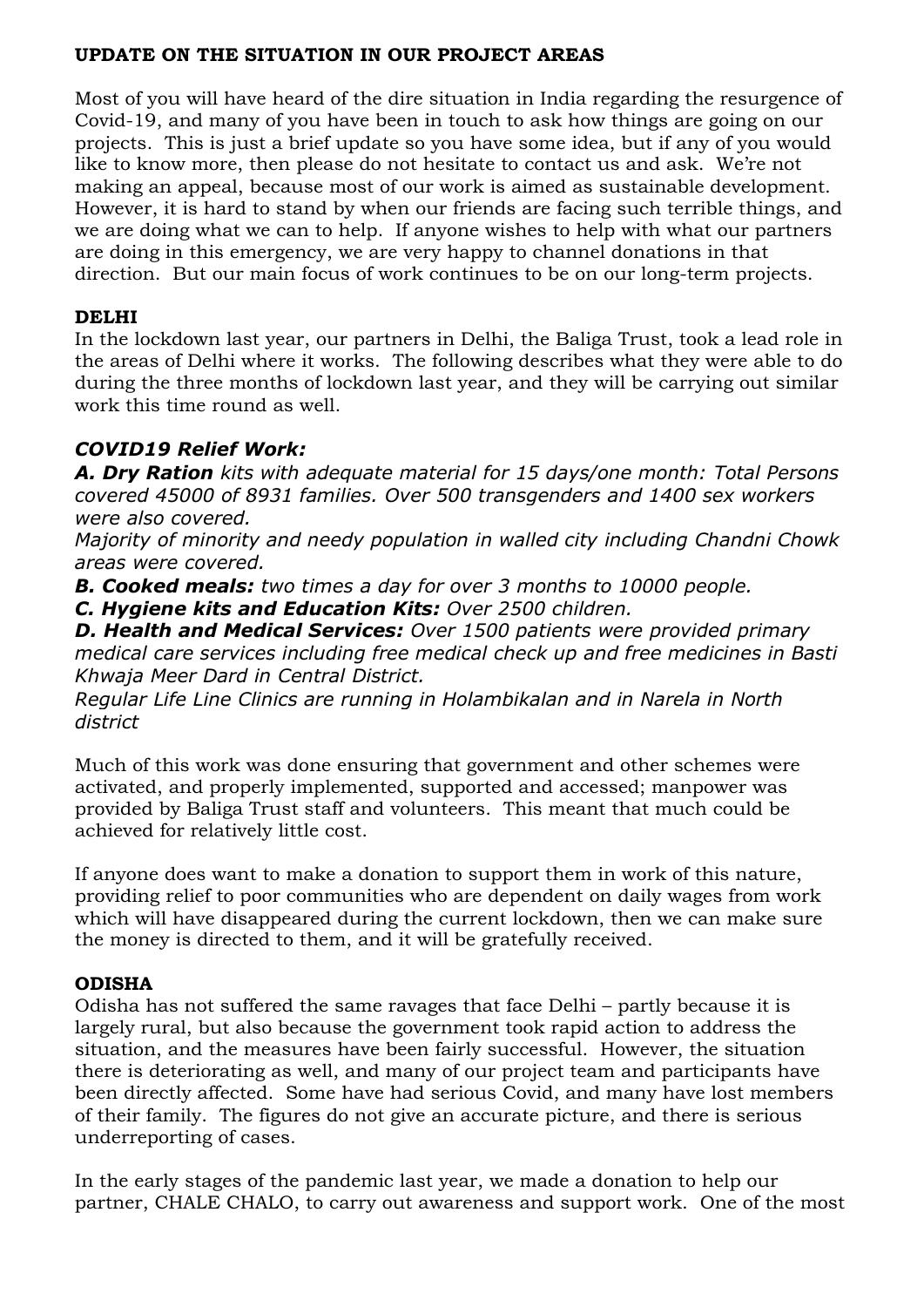#### **UPDATE ON THE SITUATION IN OUR PROJECT AREAS**

Most of you will have heard of the dire situation in India regarding the resurgence of Covid-19, and many of you have been in touch to ask how things are going on our projects. This is just a brief update so you have some idea, but if any of you would like to know more, then please do not hesitate to contact us and ask. We're not making an appeal, because most of our work is aimed as sustainable development. However, it is hard to stand by when our friends are facing such terrible things, and we are doing what we can to help. If anyone wishes to help with what our partners are doing in this emergency, we are very happy to channel donations in that direction. But our main focus of work continues to be on our long-term projects.

## **DELHI**

In the lockdown last year, our partners in Delhi, the Baliga Trust, took a lead role in the areas of Delhi where it works. The following describes what they were able to do during the three months of lockdown last year, and they will be carrying out similar work this time round as well.

# *COVID19 Relief Work:*

*A. Dry Ration kits with adequate material for 15 days/one month: Total Persons covered 45000 of 8931 families. Over 500 transgenders and 1400 sex workers were also covered.*

*Majority of minority and needy population in walled city including Chandni Chowk areas were covered.*

*B. Cooked meals: two times a day for over 3 months to 10000 people.*

*C. Hygiene kits and Education Kits: Over 2500 children.*

*D. Health and Medical Services: Over 1500 patients were provided primary medical care services including free medical check up and free medicines in Basti Khwaja Meer Dard in Central District.*

*Regular Life Line Clinics are running in Holambikalan and in Narela in North district*

Much of this work was done ensuring that government and other schemes were activated, and properly implemented, supported and accessed; manpower was provided by Baliga Trust staff and volunteers. This meant that much could be achieved for relatively little cost.

If anyone does want to make a donation to support them in work of this nature, providing relief to poor communities who are dependent on daily wages from work which will have disappeared during the current lockdown, then we can make sure the money is directed to them, and it will be gratefully received.

## **ODISHA**

Odisha has not suffered the same ravages that face Delhi – partly because it is largely rural, but also because the government took rapid action to address the situation, and the measures have been fairly successful. However, the situation there is deteriorating as well, and many of our project team and participants have been directly affected. Some have had serious Covid, and many have lost members of their family. The figures do not give an accurate picture, and there is serious underreporting of cases.

In the early stages of the pandemic last year, we made a donation to help our partner, CHALE CHALO, to carry out awareness and support work. One of the most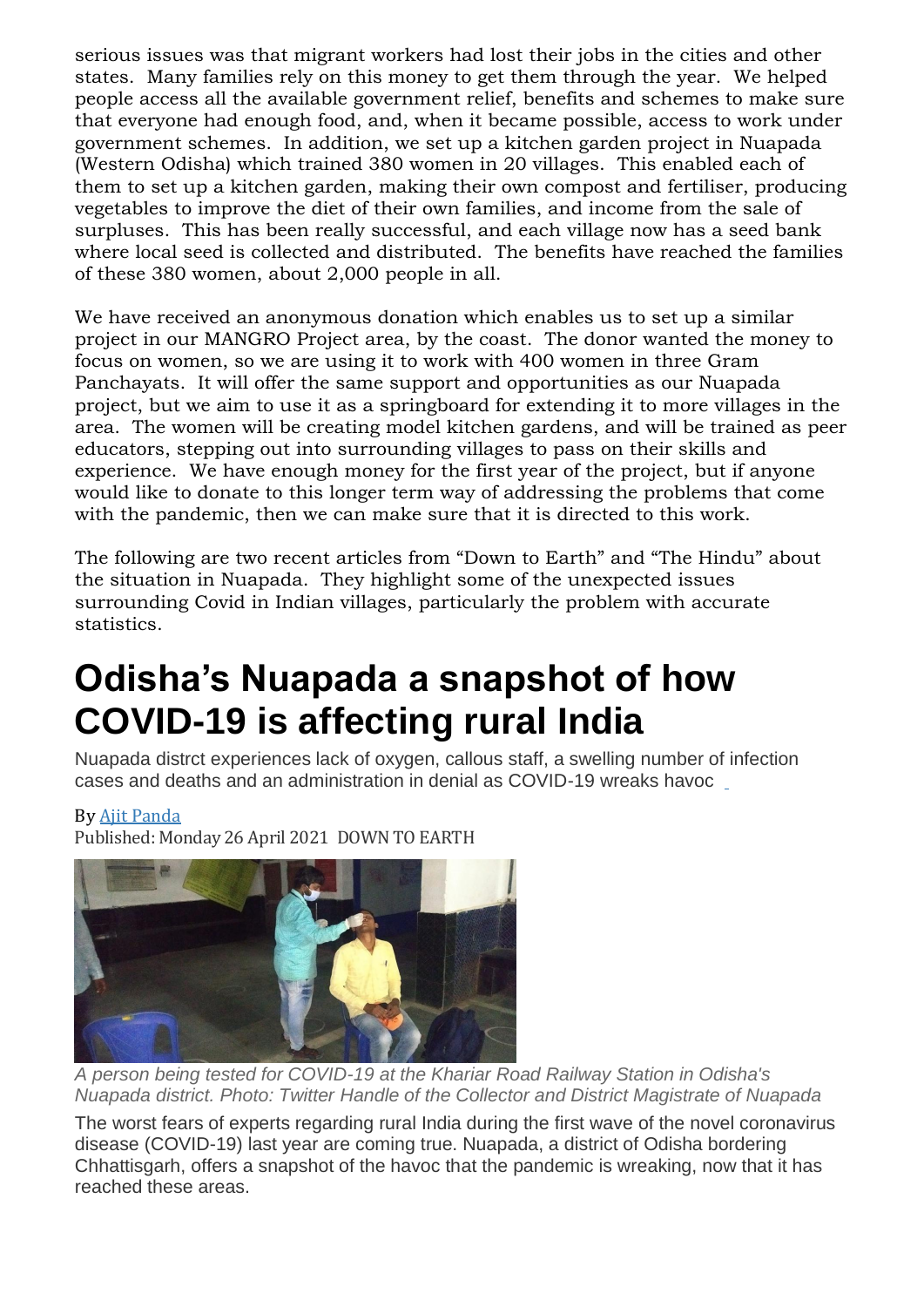serious issues was that migrant workers had lost their jobs in the cities and other states. Many families rely on this money to get them through the year. We helped people access all the available government relief, benefits and schemes to make sure that everyone had enough food, and, when it became possible, access to work under government schemes. In addition, we set up a kitchen garden project in Nuapada (Western Odisha) which trained 380 women in 20 villages. This enabled each of them to set up a kitchen garden, making their own compost and fertiliser, producing vegetables to improve the diet of their own families, and income from the sale of surpluses. This has been really successful, and each village now has a seed bank where local seed is collected and distributed. The benefits have reached the families of these 380 women, about 2,000 people in all.

We have received an anonymous donation which enables us to set up a similar project in our MANGRO Project area, by the coast. The donor wanted the money to focus on women, so we are using it to work with 400 women in three Gram Panchayats. It will offer the same support and opportunities as our Nuapada project, but we aim to use it as a springboard for extending it to more villages in the area. The women will be creating model kitchen gardens, and will be trained as peer educators, stepping out into surrounding villages to pass on their skills and experience. We have enough money for the first year of the project, but if anyone would like to donate to this longer term way of addressing the problems that come with the pandemic, then we can make sure that it is directed to this work.

The following are two recent articles from "Down to Earth" and "The Hindu" about the situation in Nuapada. They highlight some of the unexpected issues surrounding Covid in Indian villages, particularly the problem with accurate statistics.

# **Odisha's Nuapada a snapshot of how COVID-19 is affecting rural India**

Nuapada distrct experiences lack of oxygen, callous staff, a swelling number of infection cases and deaths and an administration in denial as COVID-19 wreaks havoc

## By [Ajit Panda](https://www.downtoearth.org.in/author/ajit-panda-96118)

Published: Monday 26 April 2021 DOWN TO EARTH



*A person being tested for COVID-19 at the Khariar Road Railway Station in Odisha's Nuapada district. Photo: Twitter Handle of the Collector and District Magistrate of Nuapada*

The worst fears of experts regarding rural India during the first wave of the novel coronavirus disease (COVID-19) last year are coming true. Nuapada, a district of Odisha bordering Chhattisgarh, offers a snapshot of the havoc that the pandemic is wreaking, now that it has reached these areas.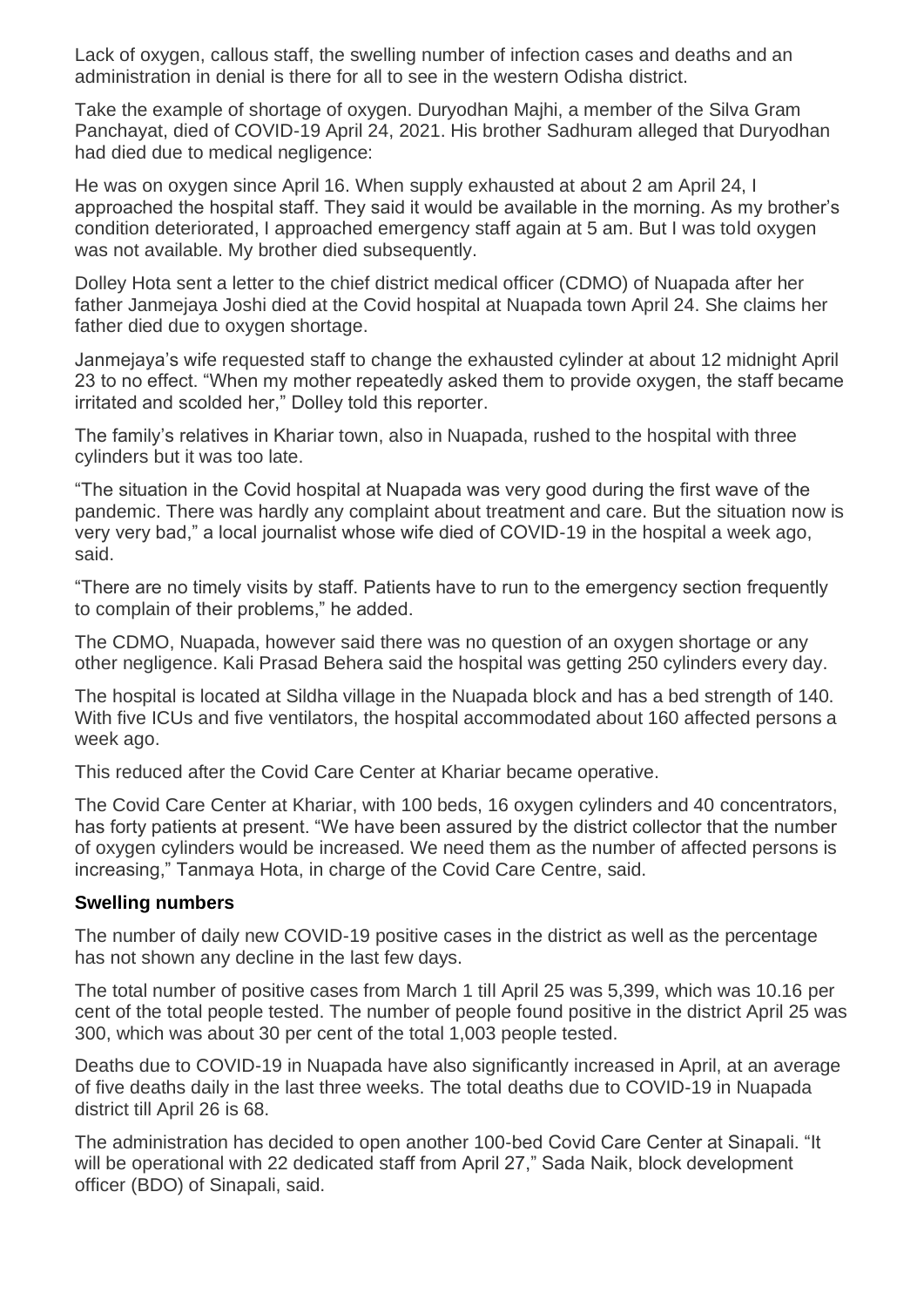Lack of oxygen, callous staff, the swelling number of infection cases and deaths and an administration in denial is there for all to see in the western Odisha district.

Take the example of shortage of oxygen. Duryodhan Majhi, a member of the Silva Gram Panchayat, died of COVID-19 April 24, 2021. His brother Sadhuram alleged that Duryodhan had died due to medical negligence:

He was on oxygen since April 16. When supply exhausted at about 2 am April 24, I approached the hospital staff. They said it would be available in the morning. As my brother's condition deteriorated, I approached emergency staff again at 5 am. But I was told oxygen was not available. My brother died subsequently.

Dolley Hota sent a letter to the chief district medical officer (CDMO) of Nuapada after her father Janmejaya Joshi died at the Covid hospital at Nuapada town April 24. She claims her father died due to oxygen shortage.

Janmejaya's wife requested staff to change the exhausted cylinder at about 12 midnight April 23 to no effect. "When my mother repeatedly asked them to provide oxygen, the staff became irritated and scolded her," Dolley told this reporter.

The family's relatives in Khariar town, also in Nuapada, rushed to the hospital with three cylinders but it was too late.

"The situation in the Covid hospital at Nuapada was very good during the first wave of the pandemic. There was hardly any complaint about treatment and care. But the situation now is very very bad," a local journalist whose wife died of COVID-19 in the hospital a week ago, said.

"There are no timely visits by staff. Patients have to run to the emergency section frequently to complain of their problems," he added.

The CDMO, Nuapada, however said there was no question of an oxygen shortage or any other negligence. Kali Prasad Behera said the hospital was getting 250 cylinders every day.

The hospital is located at Sildha village in the Nuapada block and has a bed strength of 140. With five ICUs and five ventilators, the hospital accommodated about 160 affected persons a week ago.

This reduced after the Covid Care Center at Khariar became operative.

The Covid Care Center at Khariar, with 100 beds, 16 oxygen cylinders and 40 concentrators, has forty patients at present. "We have been assured by the district collector that the number of oxygen cylinders would be increased. We need them as the number of affected persons is increasing," Tanmaya Hota, in charge of the Covid Care Centre, said.

#### **Swelling numbers**

The number of daily new COVID-19 positive cases in the district as well as the percentage has not shown any decline in the last few days.

The total number of positive cases from March 1 till April 25 was 5,399, which was 10.16 per cent of the total people tested. The number of people found positive in the district April 25 was 300, which was about 30 per cent of the total 1,003 people tested.

Deaths due to COVID-19 in Nuapada have also significantly increased in April, at an average of five deaths daily in the last three weeks. The total deaths due to COVID-19 in Nuapada district till April 26 is 68.

The administration has decided to open another 100-bed Covid Care Center at Sinapali. "It will be operational with 22 dedicated staff from April 27," Sada Naik, block development officer (BDO) of Sinapali, said.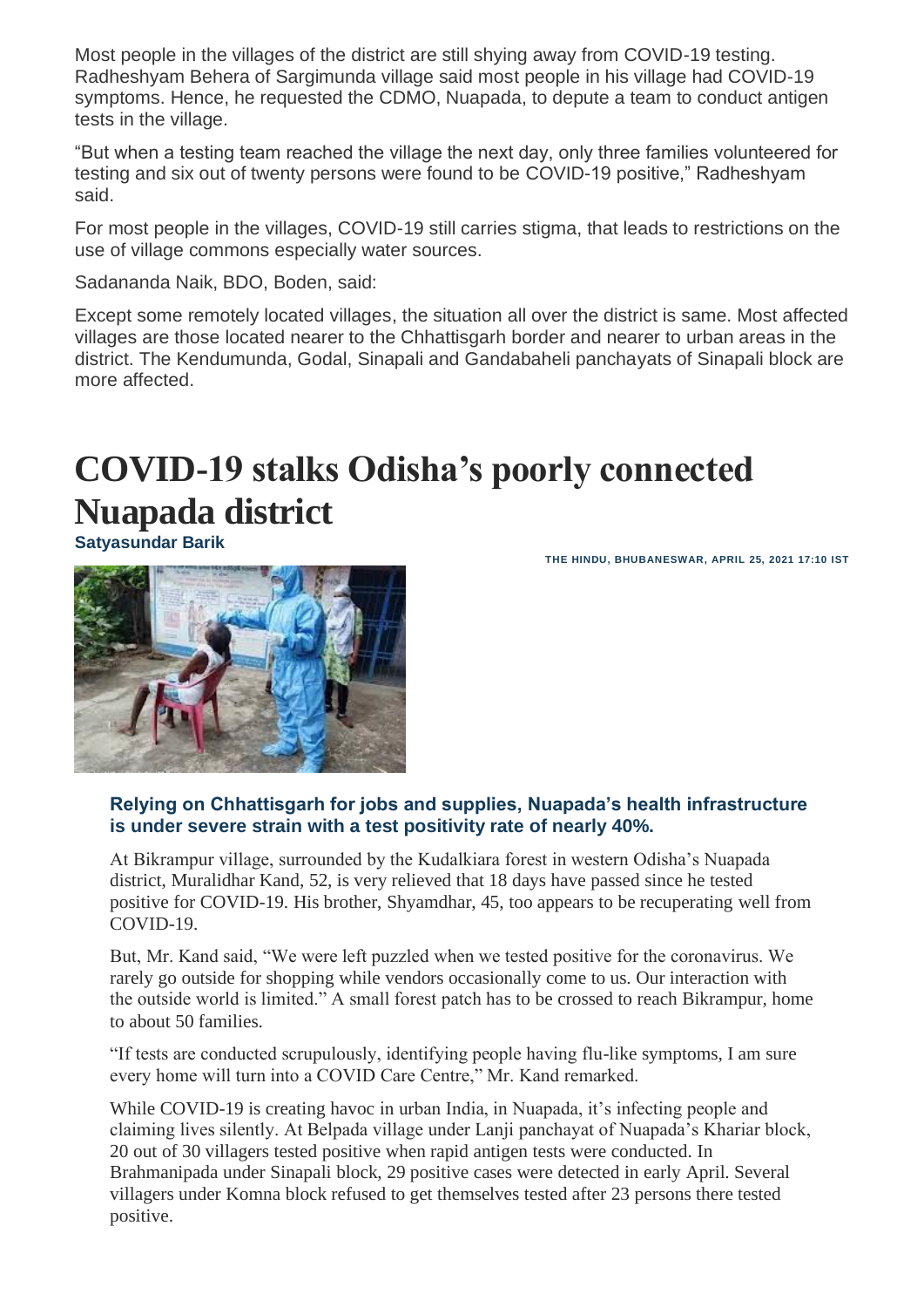Most people in the villages of the district are still shying away from COVID-19 testing. Radheshyam Behera of Sargimunda village said most people in his village had COVID-19 symptoms. Hence, he requested the CDMO, Nuapada, to depute a team to conduct antigen tests in the village.

"But when a testing team reached the village the next day, only three families volunteered for testing and six out of twenty persons were found to be COVID-19 positive," Radheshyam said.

For most people in the villages, COVID-19 still carries stigma, that leads to restrictions on the use of village commons especially water sources.

Sadananda Naik, BDO, Boden, said:

Except some remotely located villages, the situation all over the district is same. Most affected villages are those located nearer to the Chhattisgarh border and nearer to urban areas in the district. The Kendumunda, Godal, Sinapali and Gandabaheli panchayats of Sinapali block are more affected.

# **COVID-19 stalks Odisha's poorly connected Nuapada district**

**[Satyasundar Barik](https://www.thehindu.com/profile/author/Satyasundar-Barik-399/)**

**THE HINDU, BHUBANESWAR, APRIL 25, 2021 17:10 IST**



#### **Relying on Chhattisgarh for jobs and supplies, Nuapada's health infrastructure is under severe strain with a test positivity rate of nearly 40%.**

At Bikrampur village, surrounded by the Kudalkiara forest in western Odisha's Nuapada district, Muralidhar Kand, 52, is very relieved that 18 days have passed since he tested positive for COVID-19. His brother, Shyamdhar, 45, too appears to be recuperating well from COVID-19.

But, Mr. Kand said, "We were left puzzled when we tested positive for the coronavirus. We rarely go outside for shopping while vendors occasionally come to us. Our interaction with the outside world is limited." A small forest patch has to be crossed to reach Bikrampur, home to about 50 families.

"If tests are conducted scrupulously, identifying people having flu-like symptoms, I am sure every home will turn into a COVID Care Centre," Mr. Kand remarked.

While COVID-19 is creating havoc in urban India, in Nuapada, it's infecting people and claiming lives silently. At Belpada village under Lanji panchayat of Nuapada's Khariar block, 20 out of 30 villagers tested positive when rapid antigen tests were conducted. In Brahmanipada under Sinapali block, 29 positive cases were detected in early April. Several villagers under Komna block refused to get themselves tested after 23 persons there tested positive.